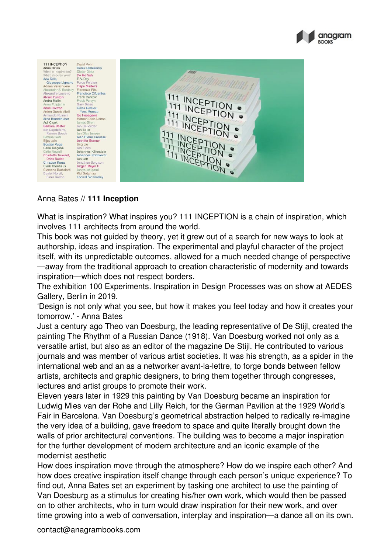



## Anna Bates // **111 Inception**

What is inspiration? What inspires you? 111 INCEPTION is a chain of inspiration, which involves 111 architects from around the world.

This book was not guided by theory, yet it grew out of a search for new ways to look at authorship, ideas and inspiration. The experimental and playful character of the project itself, with its unpredictable outcomes, allowed for a much needed change of perspective —away from the traditional approach to creation characteristic of modernity and towards inspiration—which does not respect borders.

The exhibition 100 Experiments. Inspiration in Design Processes was on show at AEDES Gallery, Berlin in 2019.

'Design is not only what you see, but how it makes you feel today and how it creates your tomorrow.' - Anna Bates

Just a century ago Theo van Doesburg, the leading representative of De Stijl, created the painting The Rhythm of a Russian Dance (1918). Van Doesburg worked not only as a versatile artist, but also as an editor of the magazine De Stijl. He contributed to various journals and was member of various artist societies. It was his strength, as a spider in the international web and an as a networker avant-la-lettre, to forge bonds between fellow artists, architects and graphic designers, to bring them together through congresses, lectures and artist groups to promote their work.

Eleven years later in 1929 this painting by Van Doesburg became an inspiration for Ludwig Mies van der Rohe and Lilly Reich, for the German Pavilion at the 1929 World's Fair in Barcelona. Van Doesburg's geometrical abstraction helped to radically re-imagine the very idea of a building, gave freedom to space and quite literally brought down the walls of prior architectural conventions. The building was to become a major inspiration for the further development of modern architecture and an iconic example of the modernist aesthetic

How does inspiration move through the atmosphere? How do we inspire each other? And how does creative inspiration itself change through each person's unique experience? To find out, Anna Bates set an experiment by tasking one architect to use the painting of Van Doesburg as a stimulus for creating his/her own work, which would then be passed on to other architects, who in turn would draw inspiration for their new work, and over time growing into a web of conversation, interplay and inspiration—a dance all on its own.